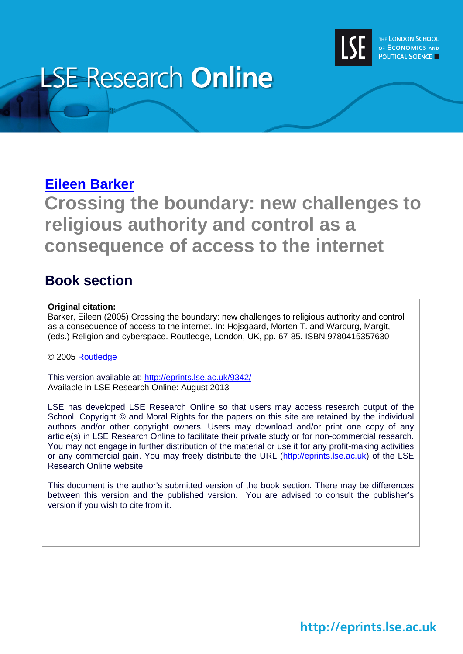

# **LSE Research Online**

## **[Eileen Barker](http://www.lse.ac.uk/researchAndExpertise/Experts/profile.aspx?KeyValue=e.barker@lse.ac.uk)**

**Crossing the boundary: new challenges to religious authority and control as a consequence of access to the internet**

## **Book section**

### **Original citation:**

Barker, Eileen (2005) Crossing the boundary: new challenges to religious authority and control as a consequence of access to the internet. In: Hojsgaard, Morten T. and Warburg, Margit, (eds.) Religion and cyberspace. Routledge, London, UK, pp. 67-85. ISBN 9780415357630

© 2005 [Routledge](http://www.routledge.com/)

This version available at:<http://eprints.lse.ac.uk/9342/> Available in LSE Research Online: August 2013

LSE has developed LSE Research Online so that users may access research output of the School. Copyright © and Moral Rights for the papers on this site are retained by the individual authors and/or other copyright owners. Users may download and/or print one copy of any article(s) in LSE Research Online to facilitate their private study or for non-commercial research. You may not engage in further distribution of the material or use it for any profit-making activities or any commercial gain. You may freely distribute the URL (http://eprints.lse.ac.uk) of the LSE Research Online website.

This document is the author's submitted version of the book section. There may be differences between this version and the published version. You are advised to consult the publisher's version if you wish to cite from it.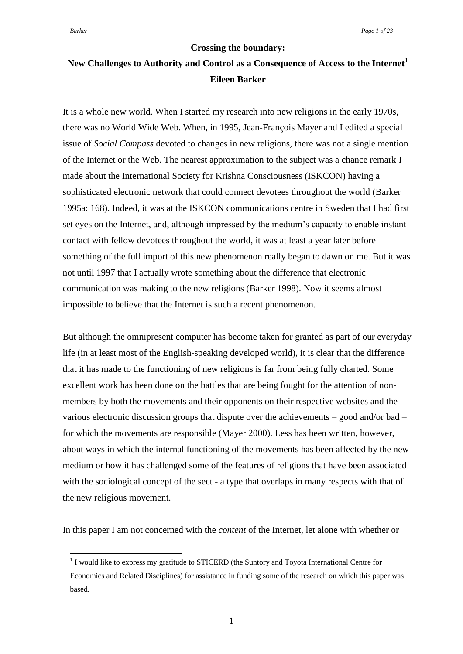1

#### **Crossing the boundary:**

## **New Challenges to Authority and Control as a Consequence of Access to the Internet<sup>1</sup> Eileen Barker**

It is a whole new world. When I started my research into new religions in the early 1970s, there was no World Wide Web. When, in 1995, Jean-François Mayer and I edited a special issue of *Social Compass* devoted to changes in new religions, there was not a single mention of the Internet or the Web. The nearest approximation to the subject was a chance remark I made about the International Society for Krishna Consciousness (ISKCON) having a sophisticated electronic network that could connect devotees throughout the world (Barker 1995a: 168). Indeed, it was at the ISKCON communications centre in Sweden that I had first set eyes on the Internet, and, although impressed by the medium's capacity to enable instant contact with fellow devotees throughout the world, it was at least a year later before something of the full import of this new phenomenon really began to dawn on me. But it was not until 1997 that I actually wrote something about the difference that electronic communication was making to the new religions (Barker 1998). Now it seems almost impossible to believe that the Internet is such a recent phenomenon.

But although the omnipresent computer has become taken for granted as part of our everyday life (in at least most of the English-speaking developed world), it is clear that the difference that it has made to the functioning of new religions is far from being fully charted. Some excellent work has been done on the battles that are being fought for the attention of nonmembers by both the movements and their opponents on their respective websites and the various electronic discussion groups that dispute over the achievements – good and/or bad – for which the movements are responsible (Mayer 2000). Less has been written, however, about ways in which the internal functioning of the movements has been affected by the new medium or how it has challenged some of the features of religions that have been associated with the sociological concept of the sect - a type that overlaps in many respects with that of the new religious movement.

In this paper I am not concerned with the *content* of the Internet, let alone with whether or

<sup>&</sup>lt;sup>1</sup> I would like to express my gratitude to STICERD (the Suntory and Toyota International Centre for Economics and Related Disciplines) for assistance in funding some of the research on which this paper was based.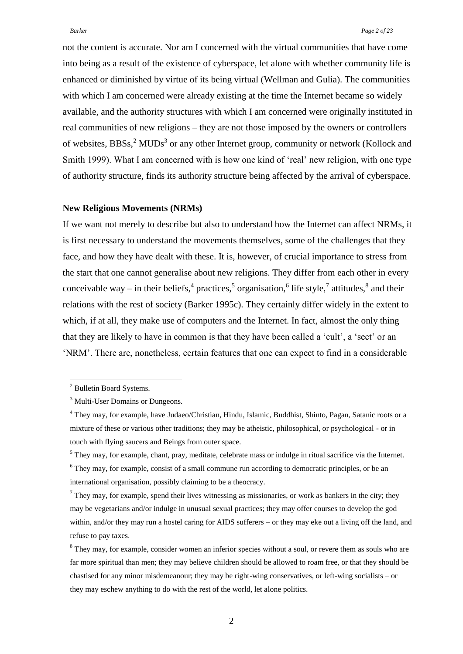not the content is accurate. Nor am I concerned with the virtual communities that have come into being as a result of the existence of cyberspace, let alone with whether community life is enhanced or diminished by virtue of its being virtual (Wellman and Gulia). The communities with which I am concerned were already existing at the time the Internet became so widely available, and the authority structures with which I am concerned were originally instituted in real communities of new religions – they are not those imposed by the owners or controllers of websites,  $BBSs$ ,  $^{2}$  MUDs<sup>3</sup> or any other Internet group, community or network (Kollock and Smith 1999). What I am concerned with is how one kind of 'real' new religion, with one type of authority structure, finds its authority structure being affected by the arrival of cyberspace.

#### **New Religious Movements (NRMs)**

If we want not merely to describe but also to understand how the Internet can affect NRMs, it is first necessary to understand the movements themselves, some of the challenges that they face, and how they have dealt with these. It is, however, of crucial importance to stress from the start that one cannot generalise about new religions. They differ from each other in every conceivable way – in their beliefs,<sup>4</sup> practices,<sup>5</sup> organisation,<sup>6</sup> life style,<sup>7</sup> attitudes,<sup>8</sup> and their relations with the rest of society (Barker 1995c). They certainly differ widely in the extent to which, if at all, they make use of computers and the Internet. In fact, almost the only thing that they are likely to have in common is that they have been called a 'cult', a 'sect' or an 'NRM'. There are, nonetheless, certain features that one can expect to find in a considerable

<u>.</u>

<sup>2</sup> Bulletin Board Systems.

<sup>&</sup>lt;sup>3</sup> Multi-User Domains or Dungeons.

<sup>4</sup> They may, for example, have Judaeo/Christian, Hindu, Islamic, Buddhist, Shinto, Pagan, Satanic roots or a mixture of these or various other traditions; they may be atheistic, philosophical, or psychological - or in touch with flying saucers and Beings from outer space.

<sup>&</sup>lt;sup>5</sup> They may, for example, chant, pray, meditate, celebrate mass or indulge in ritual sacrifice via the Internet.  $6$  They may, for example, consist of a small commune run according to democratic principles, or be an international organisation, possibly claiming to be a theocracy.

<sup>&</sup>lt;sup>7</sup> They may, for example, spend their lives witnessing as missionaries, or work as bankers in the city; they may be vegetarians and/or indulge in unusual sexual practices; they may offer courses to develop the god within, and/or they may run a hostel caring for AIDS sufferers – or they may eke out a living off the land, and refuse to pay taxes.

<sup>&</sup>lt;sup>8</sup> They may, for example, consider women an inferior species without a soul, or revere them as souls who are far more spiritual than men; they may believe children should be allowed to roam free, or that they should be chastised for any minor misdemeanour; they may be right-wing conservatives, or left-wing socialists – or they may eschew anything to do with the rest of the world, let alone politics.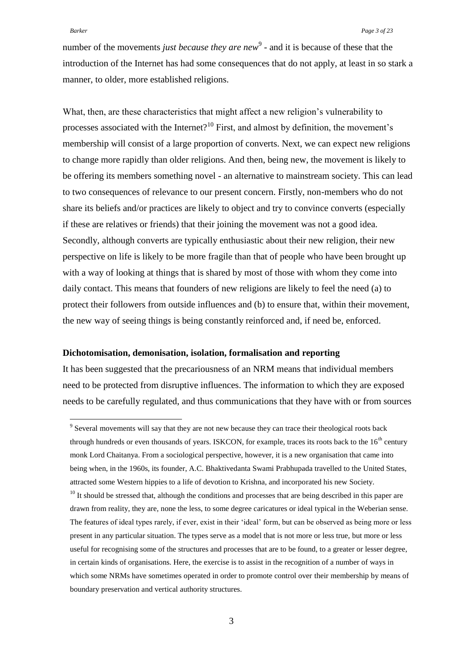number of the movements *just because they are new*<sup>9</sup> - and it is because of these that the introduction of the Internet has had some consequences that do not apply, at least in so stark a manner, to older, more established religions.

What, then, are these characteristics that might affect a new religion's vulnerability to processes associated with the Internet?<sup>10</sup> First, and almost by definition, the movement's membership will consist of a large proportion of converts. Next, we can expect new religions to change more rapidly than older religions. And then, being new, the movement is likely to be offering its members something novel - an alternative to mainstream society. This can lead to two consequences of relevance to our present concern. Firstly, non-members who do not share its beliefs and/or practices are likely to object and try to convince converts (especially if these are relatives or friends) that their joining the movement was not a good idea. Secondly, although converts are typically enthusiastic about their new religion, their new perspective on life is likely to be more fragile than that of people who have been brought up with a way of looking at things that is shared by most of those with whom they come into daily contact. This means that founders of new religions are likely to feel the need (a) to protect their followers from outside influences and (b) to ensure that, within their movement, the new way of seeing things is being constantly reinforced and, if need be, enforced.

#### **Dichotomisation, demonisation, isolation, formalisation and reporting**

It has been suggested that the precariousness of an NRM means that individual members need to be protected from disruptive influences. The information to which they are exposed needs to be carefully regulated, and thus communications that they have with or from sources

<sup>&</sup>lt;sup>9</sup> Several movements will say that they are not new because they can trace their theological roots back through hundreds or even thousands of years. ISKCON, for example, traces its roots back to the  $16<sup>th</sup>$  century monk Lord Chaitanya. From a sociological perspective, however, it is a new organisation that came into being when, in the 1960s, its founder, A.C. Bhaktivedanta Swami Prabhupada travelled to the United States, attracted some Western hippies to a life of devotion to Krishna, and incorporated his new Society.  $10$  It should be stressed that, although the conditions and processes that are being described in this paper are drawn from reality, they are, none the less, to some degree caricatures or ideal typical in the Weberian sense. The features of ideal types rarely, if ever, exist in their 'ideal' form, but can be observed as being more or less present in any particular situation. The types serve as a model that is not more or less true, but more or less useful for recognising some of the structures and processes that are to be found, to a greater or lesser degree, in certain kinds of organisations. Here, the exercise is to assist in the recognition of a number of ways in which some NRMs have sometimes operated in order to promote control over their membership by means of boundary preservation and vertical authority structures.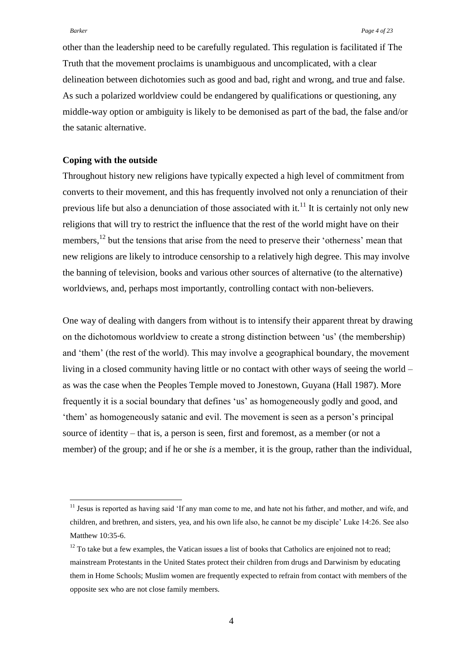1

other than the leadership need to be carefully regulated. This regulation is facilitated if The Truth that the movement proclaims is unambiguous and uncomplicated, with a clear delineation between dichotomies such as good and bad, right and wrong, and true and false. As such a polarized worldview could be endangered by qualifications or questioning, any middle-way option or ambiguity is likely to be demonised as part of the bad, the false and/or the satanic alternative.

#### **Coping with the outside**

Throughout history new religions have typically expected a high level of commitment from converts to their movement, and this has frequently involved not only a renunciation of their previous life but also a denunciation of those associated with it.<sup>11</sup> It is certainly not only new religions that will try to restrict the influence that the rest of the world might have on their members,<sup>12</sup> but the tensions that arise from the need to preserve their 'otherness' mean that new religions are likely to introduce censorship to a relatively high degree. This may involve the banning of television, books and various other sources of alternative (to the alternative) worldviews, and, perhaps most importantly, controlling contact with non-believers.

One way of dealing with dangers from without is to intensify their apparent threat by drawing on the dichotomous worldview to create a strong distinction between 'us' (the membership) and 'them' (the rest of the world). This may involve a geographical boundary, the movement living in a closed community having little or no contact with other ways of seeing the world – as was the case when the Peoples Temple moved to Jonestown, Guyana (Hall 1987). More frequently it is a social boundary that defines 'us' as homogeneously godly and good, and 'them' as homogeneously satanic and evil. The movement is seen as a person's principal source of identity – that is, a person is seen, first and foremost, as a member (or not a member) of the group; and if he or she *is* a member, it is the group, rather than the individual,

 $11$  Jesus is reported as having said 'If any man come to me, and hate not his father, and mother, and wife, and children, and brethren, and sisters, yea, and his own life also, he cannot be my disciple' Luke 14:26. See also Matthew 10:35-6.

 $12$  To take but a few examples, the Vatican issues a list of books that Catholics are enjoined not to read; mainstream Protestants in the United States protect their children from drugs and Darwinism by educating them in Home Schools; Muslim women are frequently expected to refrain from contact with members of the opposite sex who are not close family members.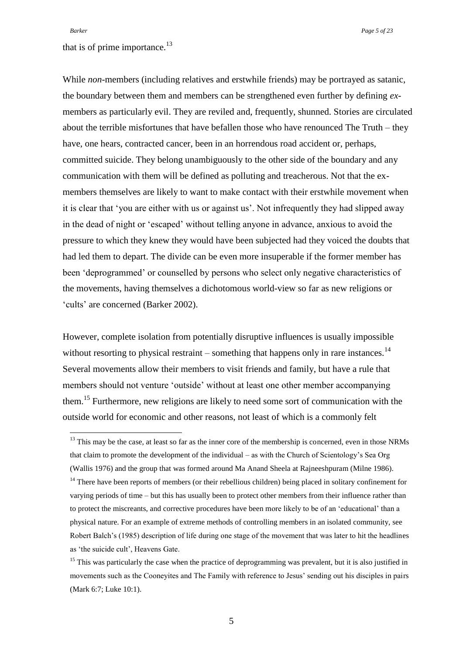*Barker Page 5 of 23*

### that is of prime importance. $^{13}$

While *non*-members (including relatives and erstwhile friends) may be portrayed as satanic, the boundary between them and members can be strengthened even further by defining *ex*members as particularly evil. They are reviled and, frequently, shunned. Stories are circulated about the terrible misfortunes that have befallen those who have renounced The Truth – they have, one hears, contracted cancer, been in an horrendous road accident or, perhaps, committed suicide. They belong unambiguously to the other side of the boundary and any communication with them will be defined as polluting and treacherous. Not that the exmembers themselves are likely to want to make contact with their erstwhile movement when it is clear that 'you are either with us or against us'. Not infrequently they had slipped away in the dead of night or 'escaped' without telling anyone in advance, anxious to avoid the pressure to which they knew they would have been subjected had they voiced the doubts that had led them to depart. The divide can be even more insuperable if the former member has been 'deprogrammed' or counselled by persons who select only negative characteristics of the movements, having themselves a dichotomous world-view so far as new religions or 'cults' are concerned (Barker 2002).

However, complete isolation from potentially disruptive influences is usually impossible without resorting to physical restraint – something that happens only in rare instances.<sup>14</sup> Several movements allow their members to visit friends and family, but have a rule that members should not venture 'outside' without at least one other member accompanying them.<sup>15</sup> Furthermore, new religions are likely to need some sort of communication with the outside world for economic and other reasons, not least of which is a commonly felt

<sup>&</sup>lt;sup>13</sup> This may be the case, at least so far as the inner core of the membership is concerned, even in those NRMs that claim to promote the development of the individual – as with the Church of Scientology's Sea Org (Wallis 1976) and the group that was formed around Ma Anand Sheela at Rajneeshpuram (Milne 1986).

<sup>&</sup>lt;sup>14</sup> There have been reports of members (or their rebellious children) being placed in solitary confinement for varying periods of time – but this has usually been to protect other members from their influence rather than to protect the miscreants, and corrective procedures have been more likely to be of an 'educational' than a physical nature. For an example of extreme methods of controlling members in an isolated community, see Robert Balch's (1985) description of life during one stage of the movement that was later to hit the headlines as 'the suicide cult', Heavens Gate.

<sup>&</sup>lt;sup>15</sup> This was particularly the case when the practice of deprogramming was prevalent, but it is also justified in movements such as the Cooneyites and The Family with reference to Jesus' sending out his disciples in pairs (Mark 6:7; Luke 10:1).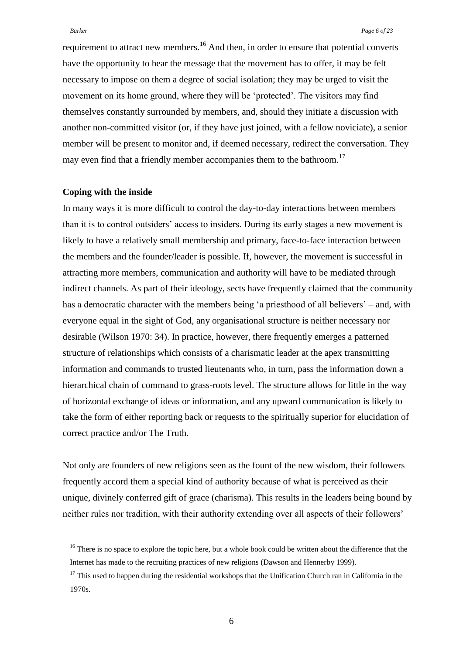requirement to attract new members.<sup>16</sup> And then, in order to ensure that potential converts have the opportunity to hear the message that the movement has to offer, it may be felt necessary to impose on them a degree of social isolation; they may be urged to visit the movement on its home ground, where they will be 'protected'. The visitors may find themselves constantly surrounded by members, and, should they initiate a discussion with another non-committed visitor (or, if they have just joined, with a fellow noviciate), a senior member will be present to monitor and, if deemed necessary, redirect the conversation. They may even find that a friendly member accompanies them to the bathroom.<sup>17</sup>

#### **Coping with the inside**

1

In many ways it is more difficult to control the day-to-day interactions between members than it is to control outsiders' access to insiders. During its early stages a new movement is likely to have a relatively small membership and primary, face-to-face interaction between the members and the founder/leader is possible. If, however, the movement is successful in attracting more members, communication and authority will have to be mediated through indirect channels. As part of their ideology, sects have frequently claimed that the community has a democratic character with the members being 'a priesthood of all believers' – and, with everyone equal in the sight of God, any organisational structure is neither necessary nor desirable (Wilson 1970: 34). In practice, however, there frequently emerges a patterned structure of relationships which consists of a charismatic leader at the apex transmitting information and commands to trusted lieutenants who, in turn, pass the information down a hierarchical chain of command to grass-roots level. The structure allows for little in the way of horizontal exchange of ideas or information, and any upward communication is likely to take the form of either reporting back or requests to the spiritually superior for elucidation of correct practice and/or The Truth.

Not only are founders of new religions seen as the fount of the new wisdom, their followers frequently accord them a special kind of authority because of what is perceived as their unique, divinely conferred gift of grace (charisma). This results in the leaders being bound by neither rules nor tradition, with their authority extending over all aspects of their followers'

6

<sup>&</sup>lt;sup>16</sup> There is no space to explore the topic here, but a whole book could be written about the difference that the Internet has made to the recruiting practices of new religions (Dawson and Hennerby 1999).

 $17$  This used to happen during the residential workshops that the Unification Church ran in California in the 1970s.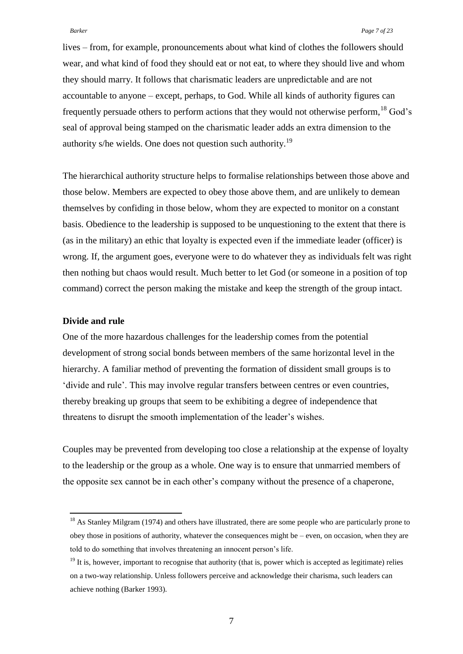lives – from, for example, pronouncements about what kind of clothes the followers should wear, and what kind of food they should eat or not eat, to where they should live and whom they should marry. It follows that charismatic leaders are unpredictable and are not accountable to anyone – except, perhaps, to God. While all kinds of authority figures can frequently persuade others to perform actions that they would not otherwise perform,  $^{18}$  God's seal of approval being stamped on the charismatic leader adds an extra dimension to the authority s/he wields. One does not question such authority.<sup>19</sup>

The hierarchical authority structure helps to formalise relationships between those above and those below. Members are expected to obey those above them, and are unlikely to demean themselves by confiding in those below, whom they are expected to monitor on a constant basis. Obedience to the leadership is supposed to be unquestioning to the extent that there is (as in the military) an ethic that loyalty is expected even if the immediate leader (officer) is wrong. If, the argument goes, everyone were to do whatever they as individuals felt was right then nothing but chaos would result. Much better to let God (or someone in a position of top command) correct the person making the mistake and keep the strength of the group intact.

#### **Divide and rule**

<u>.</u>

One of the more hazardous challenges for the leadership comes from the potential development of strong social bonds between members of the same horizontal level in the hierarchy. A familiar method of preventing the formation of dissident small groups is to 'divide and rule'. This may involve regular transfers between centres or even countries, thereby breaking up groups that seem to be exhibiting a degree of independence that threatens to disrupt the smooth implementation of the leader's wishes.

Couples may be prevented from developing too close a relationship at the expense of loyalty to the leadership or the group as a whole. One way is to ensure that unmarried members of the opposite sex cannot be in each other's company without the presence of a chaperone,

<sup>&</sup>lt;sup>18</sup> As Stanley Milgram (1974) and others have illustrated, there are some people who are particularly prone to obey those in positions of authority, whatever the consequences might be – even, on occasion, when they are told to do something that involves threatening an innocent person's life.

 $19$  It is, however, important to recognise that authority (that is, power which is accepted as legitimate) relies on a two-way relationship. Unless followers perceive and acknowledge their charisma, such leaders can achieve nothing (Barker 1993).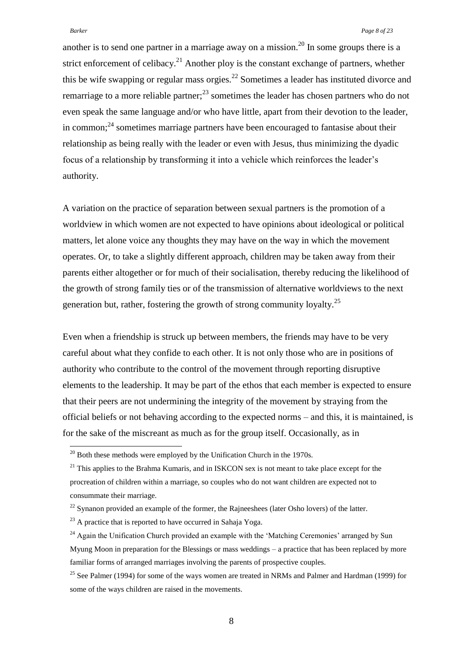another is to send one partner in a marriage away on a mission.<sup>20</sup> In some groups there is a strict enforcement of celibacy.<sup>21</sup> Another ploy is the constant exchange of partners, whether this be wife swapping or regular mass orgies.<sup>22</sup> Sometimes a leader has instituted divorce and remarriage to a more reliable partner;<sup>23</sup> sometimes the leader has chosen partners who do not even speak the same language and/or who have little, apart from their devotion to the leader, in common: $^{24}$  sometimes marriage partners have been encouraged to fantasise about their relationship as being really with the leader or even with Jesus, thus minimizing the dyadic focus of a relationship by transforming it into a vehicle which reinforces the leader's authority.

A variation on the practice of separation between sexual partners is the promotion of a worldview in which women are not expected to have opinions about ideological or political matters, let alone voice any thoughts they may have on the way in which the movement operates. Or, to take a slightly different approach, children may be taken away from their parents either altogether or for much of their socialisation, thereby reducing the likelihood of the growth of strong family ties or of the transmission of alternative worldviews to the next generation but, rather, fostering the growth of strong community loyalty.<sup>25</sup>

Even when a friendship is struck up between members, the friends may have to be very careful about what they confide to each other. It is not only those who are in positions of authority who contribute to the control of the movement through reporting disruptive elements to the leadership. It may be part of the ethos that each member is expected to ensure that their peers are not undermining the integrity of the movement by straying from the official beliefs or not behaving according to the expected norms – and this, it is maintained, is for the sake of the miscreant as much as for the group itself. Occasionally, as in

 $20$  Both these methods were employed by the Unification Church in the 1970s.

 $21$  This applies to the Brahma Kumaris, and in ISKCON sex is not meant to take place except for the procreation of children within a marriage, so couples who do not want children are expected not to consummate their marriage.

 $^{22}$  Synanon provided an example of the former, the Rajneeshees (later Osho lovers) of the latter.

 $23$  A practice that is reported to have occurred in Sahaja Yoga.

<sup>&</sup>lt;sup>24</sup> Again the Unification Church provided an example with the 'Matching Ceremonies' arranged by Sun Myung Moon in preparation for the Blessings or mass weddings – a practice that has been replaced by more familiar forms of arranged marriages involving the parents of prospective couples.

<sup>&</sup>lt;sup>25</sup> See Palmer (1994) for some of the ways women are treated in NRMs and Palmer and Hardman (1999) for some of the ways children are raised in the movements.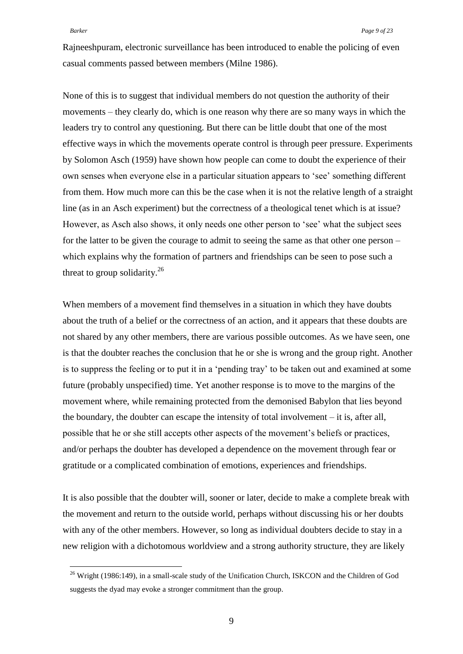Rajneeshpuram, electronic surveillance has been introduced to enable the policing of even casual comments passed between members (Milne 1986).

None of this is to suggest that individual members do not question the authority of their movements – they clearly do, which is one reason why there are so many ways in which the leaders try to control any questioning. But there can be little doubt that one of the most effective ways in which the movements operate control is through peer pressure. Experiments by Solomon Asch (1959) have shown how people can come to doubt the experience of their own senses when everyone else in a particular situation appears to 'see' something different from them. How much more can this be the case when it is not the relative length of a straight line (as in an Asch experiment) but the correctness of a theological tenet which is at issue? However, as Asch also shows, it only needs one other person to 'see' what the subject sees for the latter to be given the courage to admit to seeing the same as that other one person – which explains why the formation of partners and friendships can be seen to pose such a threat to group solidarity.<sup>26</sup>

When members of a movement find themselves in a situation in which they have doubts about the truth of a belief or the correctness of an action, and it appears that these doubts are not shared by any other members, there are various possible outcomes. As we have seen, one is that the doubter reaches the conclusion that he or she is wrong and the group right. Another is to suppress the feeling or to put it in a 'pending tray' to be taken out and examined at some future (probably unspecified) time. Yet another response is to move to the margins of the movement where, while remaining protected from the demonised Babylon that lies beyond the boundary, the doubter can escape the intensity of total involvement – it is, after all, possible that he or she still accepts other aspects of the movement's beliefs or practices, and/or perhaps the doubter has developed a dependence on the movement through fear or gratitude or a complicated combination of emotions, experiences and friendships.

It is also possible that the doubter will, sooner or later, decide to make a complete break with the movement and return to the outside world, perhaps without discussing his or her doubts with any of the other members. However, so long as individual doubters decide to stay in a new religion with a dichotomous worldview and a strong authority structure, they are likely

<sup>&</sup>lt;sup>26</sup> Wright (1986:149), in a small-scale study of the Unification Church, ISKCON and the Children of God suggests the dyad may evoke a stronger commitment than the group.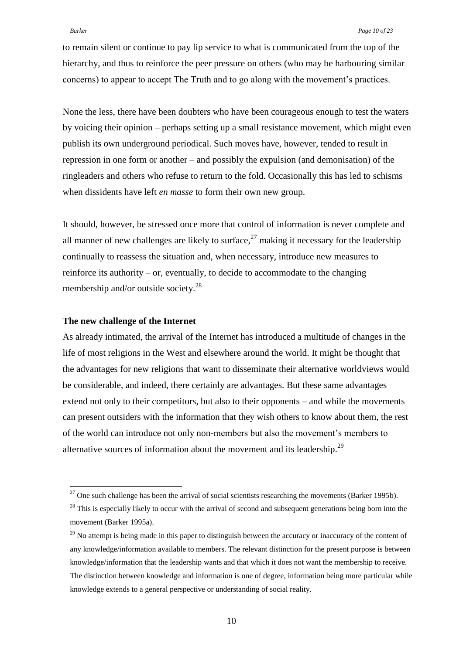to remain silent or continue to pay lip service to what is communicated from the top of the hierarchy, and thus to reinforce the peer pressure on others (who may be harbouring similar concerns) to appear to accept The Truth and to go along with the movement's practices.

None the less, there have been doubters who have been courageous enough to test the waters by voicing their opinion – perhaps setting up a small resistance movement, which might even publish its own underground periodical. Such moves have, however, tended to result in repression in one form or another – and possibly the expulsion (and demonisation) of the ringleaders and others who refuse to return to the fold. Occasionally this has led to schisms when dissidents have left *en masse* to form their own new group.

It should, however, be stressed once more that control of information is never complete and all manner of new challenges are likely to surface,  $27$  making it necessary for the leadership continually to reassess the situation and, when necessary, introduce new measures to reinforce its authority – or, eventually, to decide to accommodate to the changing membership and/or outside society.<sup>28</sup>

#### **The new challenge of the Internet**

1

As already intimated, the arrival of the Internet has introduced a multitude of changes in the life of most religions in the West and elsewhere around the world. It might be thought that the advantages for new religions that want to disseminate their alternative worldviews would be considerable, and indeed, there certainly are advantages. But these same advantages extend not only to their competitors, but also to their opponents – and while the movements can present outsiders with the information that they wish others to know about them, the rest of the world can introduce not only non-members but also the movement's members to alternative sources of information about the movement and its leadership.<sup>29</sup>

 $^{27}$  One such challenge has been the arrival of social scientists researching the movements (Barker 1995b).

 $^{28}$  This is especially likely to occur with the arrival of second and subsequent generations being born into the movement (Barker 1995a).

<sup>&</sup>lt;sup>29</sup> No attempt is being made in this paper to distinguish between the accuracy or inaccuracy of the content of any knowledge/information available to members. The relevant distinction for the present purpose is between knowledge/information that the leadership wants and that which it does not want the membership to receive. The distinction between knowledge and information is one of degree, information being more particular while knowledge extends to a general perspective or understanding of social reality.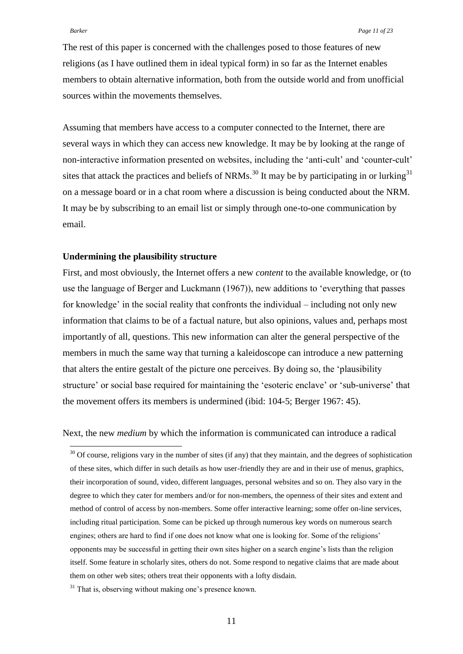The rest of this paper is concerned with the challenges posed to those features of new religions (as I have outlined them in ideal typical form) in so far as the Internet enables members to obtain alternative information, both from the outside world and from unofficial sources within the movements themselves.

Assuming that members have access to a computer connected to the Internet, there are several ways in which they can access new knowledge. It may be by looking at the range of non-interactive information presented on websites, including the 'anti-cult' and 'counter-cult' sites that attack the practices and beliefs of NRMs.<sup>30</sup> It may be by participating in or lurking<sup>31</sup> on a message board or in a chat room where a discussion is being conducted about the NRM. It may be by subscribing to an email list or simply through one-to-one communication by email.

#### **Undermining the plausibility structure**

First, and most obviously, the Internet offers a new *content* to the available knowledge, or (to use the language of Berger and Luckmann (1967)), new additions to 'everything that passes for knowledge' in the social reality that confronts the individual – including not only new information that claims to be of a factual nature, but also opinions, values and, perhaps most importantly of all, questions. This new information can alter the general perspective of the members in much the same way that turning a kaleidoscope can introduce a new patterning that alters the entire gestalt of the picture one perceives. By doing so, the 'plausibility structure' or social base required for maintaining the 'esoteric enclave' or 'sub-universe' that the movement offers its members is undermined (ibid: 104-5; Berger 1967: 45).

Next, the new *medium* by which the information is communicated can introduce a radical

 $30$  Of course, religions vary in the number of sites (if any) that they maintain, and the degrees of sophistication of these sites, which differ in such details as how user-friendly they are and in their use of menus, graphics, their incorporation of sound, video, different languages, personal websites and so on. They also vary in the degree to which they cater for members and/or for non-members, the openness of their sites and extent and method of control of access by non-members. Some offer interactive learning; some offer on-line services, including ritual participation. Some can be picked up through numerous key words on numerous search engines; others are hard to find if one does not know what one is looking for. Some of the religions' opponents may be successful in getting their own sites higher on a search engine's lists than the religion itself. Some feature in scholarly sites, others do not. Some respond to negative claims that are made about them on other web sites; others treat their opponents with a lofty disdain.

 $31$  That is, observing without making one's presence known.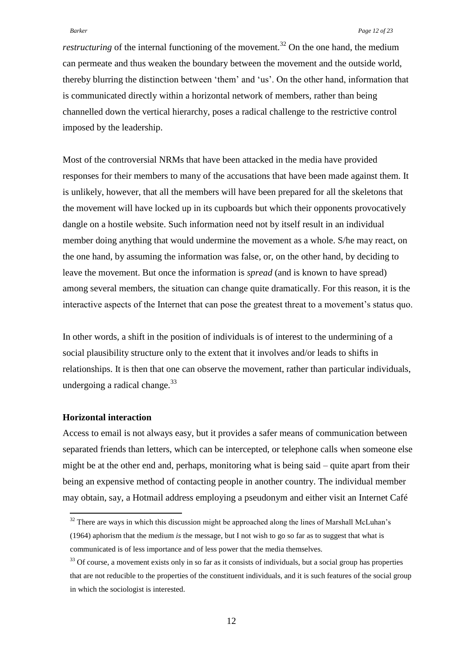*restructuring* of the internal functioning of the movement.<sup>32</sup> On the one hand, the medium can permeate and thus weaken the boundary between the movement and the outside world, thereby blurring the distinction between 'them' and 'us'. On the other hand, information that is communicated directly within a horizontal network of members, rather than being channelled down the vertical hierarchy, poses a radical challenge to the restrictive control imposed by the leadership.

Most of the controversial NRMs that have been attacked in the media have provided responses for their members to many of the accusations that have been made against them. It is unlikely, however, that all the members will have been prepared for all the skeletons that the movement will have locked up in its cupboards but which their opponents provocatively dangle on a hostile website. Such information need not by itself result in an individual member doing anything that would undermine the movement as a whole. S/he may react, on the one hand, by assuming the information was false, or, on the other hand, by deciding to leave the movement. But once the information is *spread* (and is known to have spread) among several members, the situation can change quite dramatically. For this reason, it is the interactive aspects of the Internet that can pose the greatest threat to a movement's status quo.

In other words, a shift in the position of individuals is of interest to the undermining of a social plausibility structure only to the extent that it involves and/or leads to shifts in relationships. It is then that one can observe the movement, rather than particular individuals, undergoing a radical change. $33$ 

#### **Horizontal interaction**

<u>.</u>

Access to email is not always easy, but it provides a safer means of communication between separated friends than letters, which can be intercepted, or telephone calls when someone else might be at the other end and, perhaps, monitoring what is being said – quite apart from their being an expensive method of contacting people in another country. The individual member may obtain, say, a Hotmail address employing a pseudonym and either visit an Internet Café

<sup>&</sup>lt;sup>32</sup> There are ways in which this discussion might be approached along the lines of Marshall McLuhan's (1964) aphorism that the medium *is* the message, but I not wish to go so far as to suggest that what is communicated is of less importance and of less power that the media themselves.

<sup>&</sup>lt;sup>33</sup> Of course, a movement exists only in so far as it consists of individuals, but a social group has properties that are not reducible to the properties of the constituent individuals, and it is such features of the social group in which the sociologist is interested.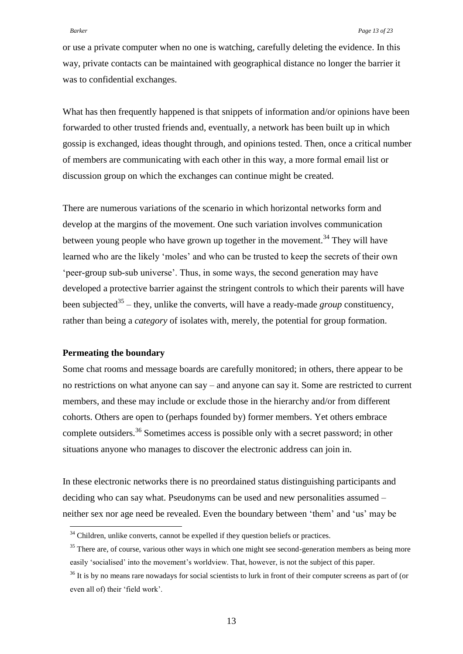or use a private computer when no one is watching, carefully deleting the evidence. In this way, private contacts can be maintained with geographical distance no longer the barrier it was to confidential exchanges.

What has then frequently happened is that snippets of information and/or opinions have been forwarded to other trusted friends and, eventually, a network has been built up in which gossip is exchanged, ideas thought through, and opinions tested. Then, once a critical number of members are communicating with each other in this way, a more formal email list or discussion group on which the exchanges can continue might be created.

There are numerous variations of the scenario in which horizontal networks form and develop at the margins of the movement. One such variation involves communication between young people who have grown up together in the movement.<sup>34</sup> They will have learned who are the likely 'moles' and who can be trusted to keep the secrets of their own 'peer-group sub-sub universe'. Thus, in some ways, the second generation may have developed a protective barrier against the stringent controls to which their parents will have been subjected<sup>35</sup> – they, unlike the converts, will have a ready-made *group* constituency, rather than being a *category* of isolates with, merely, the potential for group formation.

#### **Permeating the boundary**

<u>.</u>

Some chat rooms and message boards are carefully monitored; in others, there appear to be no restrictions on what anyone can say – and anyone can say it. Some are restricted to current members, and these may include or exclude those in the hierarchy and/or from different cohorts. Others are open to (perhaps founded by) former members. Yet others embrace complete outsiders.<sup>36</sup> Sometimes access is possible only with a secret password; in other situations anyone who manages to discover the electronic address can join in.

In these electronic networks there is no preordained status distinguishing participants and deciding who can say what. Pseudonyms can be used and new personalities assumed – neither sex nor age need be revealed. Even the boundary between 'them' and 'us' may be

 $34$  Children, unlike converts, cannot be expelled if they question beliefs or practices.

<sup>&</sup>lt;sup>35</sup> There are, of course, various other ways in which one might see second-generation members as being more easily 'socialised' into the movement's worldview. That, however, is not the subject of this paper.

 $36$  It is by no means rare nowadays for social scientists to lurk in front of their computer screens as part of (or even all of) their 'field work'.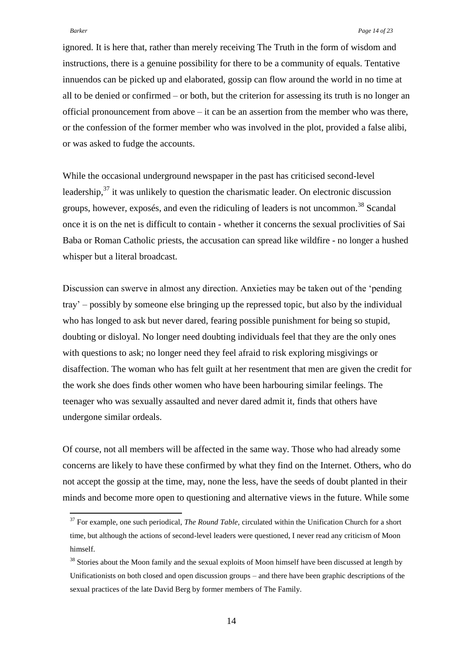ignored. It is here that, rather than merely receiving The Truth in the form of wisdom and instructions, there is a genuine possibility for there to be a community of equals. Tentative innuendos can be picked up and elaborated, gossip can flow around the world in no time at all to be denied or confirmed – or both, but the criterion for assessing its truth is no longer an official pronouncement from above – it can be an assertion from the member who was there, or the confession of the former member who was involved in the plot, provided a false alibi, or was asked to fudge the accounts.

While the occasional underground newspaper in the past has criticised second-level leadership, $37$  it was unlikely to question the charismatic leader. On electronic discussion groups, however, exposés, and even the ridiculing of leaders is not uncommon.<sup>38</sup> Scandal once it is on the net is difficult to contain - whether it concerns the sexual proclivities of Sai Baba or Roman Catholic priests, the accusation can spread like wildfire - no longer a hushed whisper but a literal broadcast.

Discussion can swerve in almost any direction. Anxieties may be taken out of the 'pending tray' – possibly by someone else bringing up the repressed topic, but also by the individual who has longed to ask but never dared, fearing possible punishment for being so stupid, doubting or disloyal. No longer need doubting individuals feel that they are the only ones with questions to ask; no longer need they feel afraid to risk exploring misgivings or disaffection. The woman who has felt guilt at her resentment that men are given the credit for the work she does finds other women who have been harbouring similar feelings. The teenager who was sexually assaulted and never dared admit it, finds that others have undergone similar ordeals.

Of course, not all members will be affected in the same way. Those who had already some concerns are likely to have these confirmed by what they find on the Internet. Others, who do not accept the gossip at the time, may, none the less, have the seeds of doubt planted in their minds and become more open to questioning and alternative views in the future. While some

<sup>37</sup> For example, one such periodical, *The Round Table,* circulated within the Unification Church for a short time, but although the actions of second-level leaders were questioned, I never read any criticism of Moon himself.

<sup>&</sup>lt;sup>38</sup> Stories about the Moon family and the sexual exploits of Moon himself have been discussed at length by Unificationists on both closed and open discussion groups – and there have been graphic descriptions of the sexual practices of the late David Berg by former members of The Family.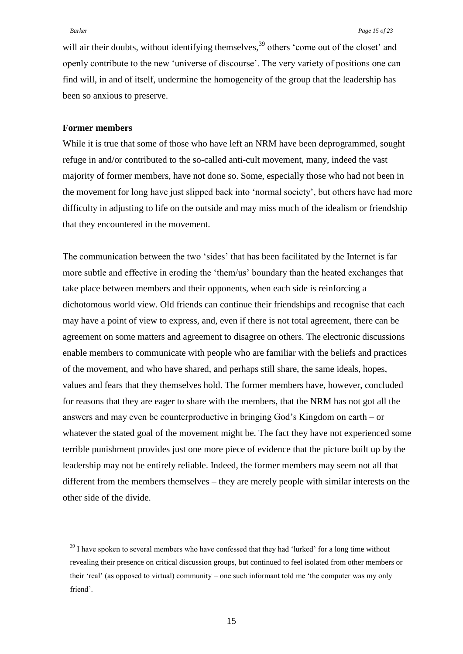will air their doubts, without identifying themselves,<sup>39</sup> others 'come out of the closet' and openly contribute to the new 'universe of discourse'. The very variety of positions one can find will, in and of itself, undermine the homogeneity of the group that the leadership has been so anxious to preserve.

#### **Former members**

1

While it is true that some of those who have left an NRM have been deprogrammed, sought refuge in and/or contributed to the so-called anti-cult movement, many, indeed the vast majority of former members, have not done so. Some, especially those who had not been in the movement for long have just slipped back into 'normal society', but others have had more difficulty in adjusting to life on the outside and may miss much of the idealism or friendship that they encountered in the movement.

The communication between the two 'sides' that has been facilitated by the Internet is far more subtle and effective in eroding the 'them/us' boundary than the heated exchanges that take place between members and their opponents, when each side is reinforcing a dichotomous world view. Old friends can continue their friendships and recognise that each may have a point of view to express, and, even if there is not total agreement, there can be agreement on some matters and agreement to disagree on others. The electronic discussions enable members to communicate with people who are familiar with the beliefs and practices of the movement, and who have shared, and perhaps still share, the same ideals, hopes, values and fears that they themselves hold. The former members have, however, concluded for reasons that they are eager to share with the members, that the NRM has not got all the answers and may even be counterproductive in bringing God's Kingdom on earth – or whatever the stated goal of the movement might be. The fact they have not experienced some terrible punishment provides just one more piece of evidence that the picture built up by the leadership may not be entirely reliable. Indeed, the former members may seem not all that different from the members themselves – they are merely people with similar interests on the other side of the divide.

 $39$  I have spoken to several members who have confessed that they had 'lurked' for a long time without revealing their presence on critical discussion groups, but continued to feel isolated from other members or their 'real' (as opposed to virtual) community – one such informant told me 'the computer was my only friend'.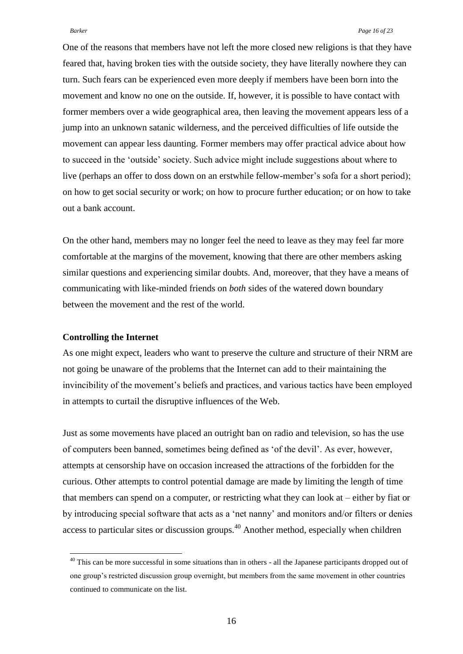One of the reasons that members have not left the more closed new religions is that they have feared that, having broken ties with the outside society, they have literally nowhere they can turn. Such fears can be experienced even more deeply if members have been born into the movement and know no one on the outside. If, however, it is possible to have contact with former members over a wide geographical area, then leaving the movement appears less of a jump into an unknown satanic wilderness, and the perceived difficulties of life outside the movement can appear less daunting. Former members may offer practical advice about how to succeed in the 'outside' society. Such advice might include suggestions about where to live (perhaps an offer to doss down on an erstwhile fellow-member's sofa for a short period); on how to get social security or work; on how to procure further education; or on how to take out a bank account.

On the other hand, members may no longer feel the need to leave as they may feel far more comfortable at the margins of the movement, knowing that there are other members asking similar questions and experiencing similar doubts. And, moreover, that they have a means of communicating with like-minded friends on *both* sides of the watered down boundary between the movement and the rest of the world.

#### **Controlling the Internet**

1

As one might expect, leaders who want to preserve the culture and structure of their NRM are not going be unaware of the problems that the Internet can add to their maintaining the invincibility of the movement's beliefs and practices, and various tactics have been employed in attempts to curtail the disruptive influences of the Web.

Just as some movements have placed an outright ban on radio and television, so has the use of computers been banned, sometimes being defined as 'of the devil'. As ever, however, attempts at censorship have on occasion increased the attractions of the forbidden for the curious. Other attempts to control potential damage are made by limiting the length of time that members can spend on a computer, or restricting what they can look at – either by fiat or by introducing special software that acts as a 'net nanny' and monitors and/or filters or denies access to particular sites or discussion groups.<sup>40</sup> Another method, especially when children

<sup>&</sup>lt;sup>40</sup> This can be more successful in some situations than in others - all the Japanese participants dropped out of one group's restricted discussion group overnight, but members from the same movement in other countries continued to communicate on the list.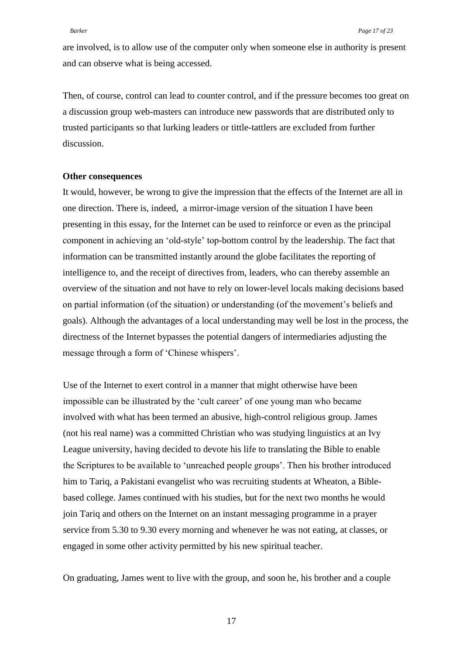are involved, is to allow use of the computer only when someone else in authority is present and can observe what is being accessed.

Then, of course, control can lead to counter control, and if the pressure becomes too great on a discussion group web-masters can introduce new passwords that are distributed only to trusted participants so that lurking leaders or tittle-tattlers are excluded from further discussion.

#### **Other consequences**

It would, however, be wrong to give the impression that the effects of the Internet are all in one direction. There is, indeed, a mirror-image version of the situation I have been presenting in this essay, for the Internet can be used to reinforce or even as the principal component in achieving an 'old-style' top-bottom control by the leadership. The fact that information can be transmitted instantly around the globe facilitates the reporting of intelligence to, and the receipt of directives from, leaders, who can thereby assemble an overview of the situation and not have to rely on lower-level locals making decisions based on partial information (of the situation) or understanding (of the movement's beliefs and goals). Although the advantages of a local understanding may well be lost in the process, the directness of the Internet bypasses the potential dangers of intermediaries adjusting the message through a form of 'Chinese whispers'.

Use of the Internet to exert control in a manner that might otherwise have been impossible can be illustrated by the 'cult career' of one young man who became involved with what has been termed an abusive, high-control religious group. James (not his real name) was a committed Christian who was studying linguistics at an Ivy League university, having decided to devote his life to translating the Bible to enable the Scriptures to be available to 'unreached people groups'. Then his brother introduced him to Tariq, a Pakistani evangelist who was recruiting students at Wheaton, a Biblebased college. James continued with his studies, but for the next two months he would join Tariq and others on the Internet on an instant messaging programme in a prayer service from 5.30 to 9.30 every morning and whenever he was not eating, at classes, or engaged in some other activity permitted by his new spiritual teacher.

On graduating, James went to live with the group, and soon he, his brother and a couple

17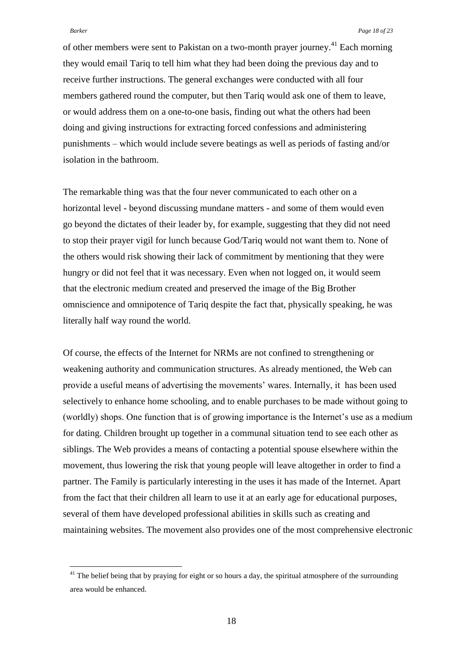of other members were sent to Pakistan on a two-month prayer journey.<sup>41</sup> Each morning they would email Tariq to tell him what they had been doing the previous day and to receive further instructions. The general exchanges were conducted with all four members gathered round the computer, but then Tariq would ask one of them to leave, or would address them on a one-to-one basis, finding out what the others had been doing and giving instructions for extracting forced confessions and administering punishments – which would include severe beatings as well as periods of fasting and/or isolation in the bathroom.

The remarkable thing was that the four never communicated to each other on a horizontal level - beyond discussing mundane matters - and some of them would even go beyond the dictates of their leader by, for example, suggesting that they did not need to stop their prayer vigil for lunch because God/Tariq would not want them to. None of the others would risk showing their lack of commitment by mentioning that they were hungry or did not feel that it was necessary. Even when not logged on, it would seem that the electronic medium created and preserved the image of the Big Brother omniscience and omnipotence of Tariq despite the fact that, physically speaking, he was literally half way round the world.

Of course, the effects of the Internet for NRMs are not confined to strengthening or weakening authority and communication structures. As already mentioned, the Web can provide a useful means of advertising the movements' wares. Internally, it has been used selectively to enhance home schooling, and to enable purchases to be made without going to (worldly) shops. One function that is of growing importance is the Internet's use as a medium for dating. Children brought up together in a communal situation tend to see each other as siblings. The Web provides a means of contacting a potential spouse elsewhere within the movement, thus lowering the risk that young people will leave altogether in order to find a partner. The Family is particularly interesting in the uses it has made of the Internet. Apart from the fact that their children all learn to use it at an early age for educational purposes, several of them have developed professional abilities in skills such as creating and maintaining websites. The movement also provides one of the most comprehensive electronic

 $41$  The belief being that by praying for eight or so hours a day, the spiritual atmosphere of the surrounding area would be enhanced.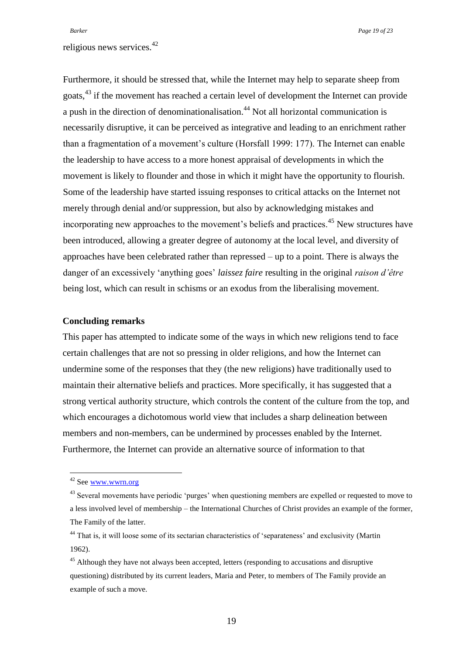*Barker Page 19 of 23*

religious news services.<sup>42</sup>

Furthermore, it should be stressed that, while the Internet may help to separate sheep from goats,<sup>43</sup> if the movement has reached a certain level of development the Internet can provide a push in the direction of denominationalisation.<sup>44</sup> Not all horizontal communication is necessarily disruptive, it can be perceived as integrative and leading to an enrichment rather than a fragmentation of a movement's culture (Horsfall 1999: 177). The Internet can enable the leadership to have access to a more honest appraisal of developments in which the movement is likely to flounder and those in which it might have the opportunity to flourish. Some of the leadership have started issuing responses to critical attacks on the Internet not merely through denial and/or suppression, but also by acknowledging mistakes and incorporating new approaches to the movement's beliefs and practices.<sup>45</sup> New structures have been introduced, allowing a greater degree of autonomy at the local level, and diversity of approaches have been celebrated rather than repressed – up to a point. There is always the danger of an excessively 'anything goes' *laissez faire* resulting in the original *raison d'être* being lost, which can result in schisms or an exodus from the liberalising movement.

#### **Concluding remarks**

This paper has attempted to indicate some of the ways in which new religions tend to face certain challenges that are not so pressing in older religions, and how the Internet can undermine some of the responses that they (the new religions) have traditionally used to maintain their alternative beliefs and practices. More specifically, it has suggested that a strong vertical authority structure, which controls the content of the culture from the top, and which encourages a dichotomous world view that includes a sharp delineation between members and non-members, can be undermined by processes enabled by the Internet. Furthermore, the Internet can provide an alternative source of information to that

<u>.</u>

<sup>42</sup> See [www.wwrn.org](http://www.wrns.org/)

<sup>&</sup>lt;sup>43</sup> Several movements have periodic 'purges' when questioning members are expelled or requested to move to a less involved level of membership – the International Churches of Christ provides an example of the former, The Family of the latter.

<sup>&</sup>lt;sup>44</sup> That is, it will loose some of its sectarian characteristics of 'separateness' and exclusivity (Martin 1962).

<sup>&</sup>lt;sup>45</sup> Although they have not always been accepted, letters (responding to accusations and disruptive questioning) distributed by its current leaders, Maria and Peter, to members of The Family provide an example of such a move.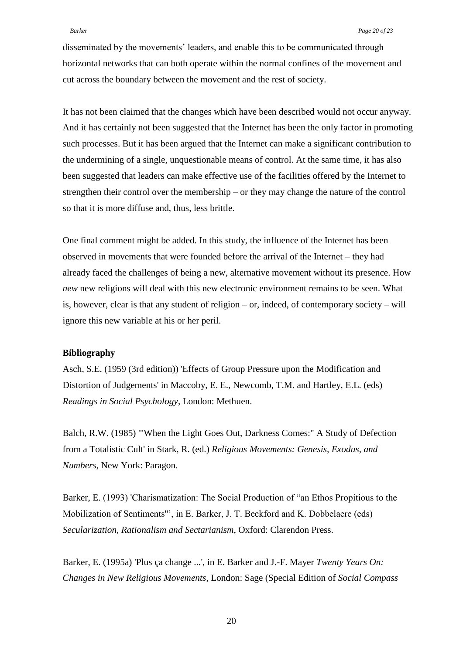disseminated by the movements' leaders, and enable this to be communicated through horizontal networks that can both operate within the normal confines of the movement and cut across the boundary between the movement and the rest of society.

It has not been claimed that the changes which have been described would not occur anyway. And it has certainly not been suggested that the Internet has been the only factor in promoting such processes. But it has been argued that the Internet can make a significant contribution to the undermining of a single, unquestionable means of control. At the same time, it has also been suggested that leaders can make effective use of the facilities offered by the Internet to strengthen their control over the membership – or they may change the nature of the control so that it is more diffuse and, thus, less brittle.

One final comment might be added. In this study, the influence of the Internet has been observed in movements that were founded before the arrival of the Internet – they had already faced the challenges of being a new, alternative movement without its presence. How *new* new religions will deal with this new electronic environment remains to be seen. What is, however, clear is that any student of religion – or, indeed, of contemporary society – will ignore this new variable at his or her peril.

#### **Bibliography**

Asch, S.E. (1959 (3rd edition)) 'Effects of Group Pressure upon the Modification and Distortion of Judgements' in Maccoby, E. E., Newcomb, T.M. and Hartley, E.L. (eds) *Readings in Social Psychology*, London: Methuen.

Balch, R.W. (1985) '"When the Light Goes Out, Darkness Comes:" A Study of Defection from a Totalistic Cult' in Stark, R. (ed.) *Religious Movements: Genesis, Exodus, and Numbers*, New York: Paragon.

Barker, E. (1993) 'Charismatization: The Social Production of "an Ethos Propitious to the Mobilization of Sentiments''', in E. Barker, J. T. Beckford and K. Dobbelaere (eds) *Secularization, Rationalism and Sectarianism*, Oxford: Clarendon Press.

Barker, E. (1995a) 'Plus ça change ...', in E. Barker and J.-F. Mayer *Twenty Years On: Changes in New Religious Movements*, London: Sage (Special Edition of *Social Compass*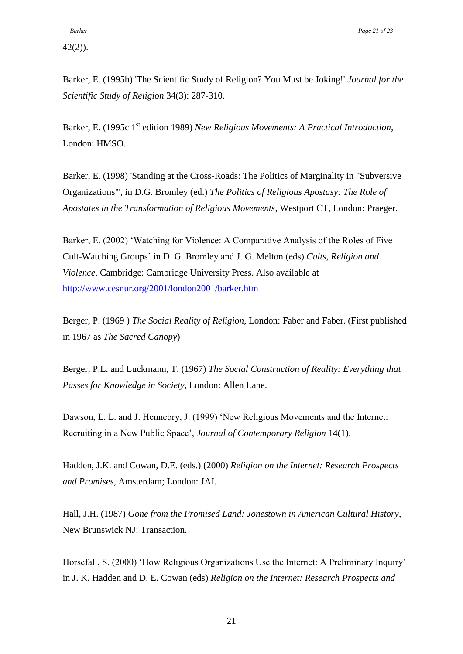42(2)).

Barker, E. (1995b) 'The Scientific Study of Religion? You Must be Joking!' *Journal for the Scientific Study of Religion* 34(3): 287-310.

Barker, E. (1995c 1<sup>st</sup> edition 1989) *New Religious Movements: A Practical Introduction*, London: HMSO.

Barker, E. (1998) 'Standing at the Cross-Roads: The Politics of Marginality in "Subversive Organizations"', in D.G. Bromley (ed.) *The Politics of Religious Apostasy: The Role of Apostates in the Transformation of Religious Movements*, Westport CT, London: Praeger.

Barker, E. (2002) 'Watching for Violence: A Comparative Analysis of the Roles of Five Cult-Watching Groups' in D. G. Bromley and J. G. Melton (eds) *Cults, Religion and Violence*. Cambridge: Cambridge University Press. Also available at <http://www.cesnur.org/2001/london2001/barker.htm>

Berger, P. (1969 ) *The Social Reality of Religion*, London: Faber and Faber. (First published in 1967 as *The Sacred Canopy*)

Berger, P.L. and Luckmann, T. (1967) *The Social Construction of Reality: Everything that Passes for Knowledge in Society*, London: Allen Lane.

Dawson, L. L. and J. Hennebry, J. (1999) 'New Religious Movements and the Internet: Recruiting in a New Public Space', *Journal of Contemporary Religion* 14(1).

Hadden, J.K. and Cowan, D.E. (eds.) (2000) *Religion on the Internet: Research Prospects and Promises*, Amsterdam; London: JAI.

Hall, J.H. (1987) *Gone from the Promised Land: Jonestown in American Cultural History*, New Brunswick NJ: Transaction.

Horsefall, S. (2000) 'How Religious Organizations Use the Internet: A Preliminary Inquiry' in J. K. Hadden and D. E. Cowan (eds) *Religion on the Internet: Research Prospects and*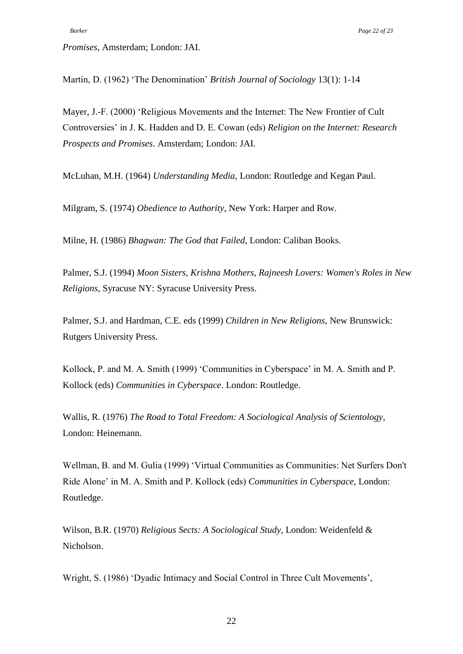*Promises,* Amsterdam; London: JAI.

Martin, D. (1962) 'The Denomination' *British Journal of Sociology* 13(1): 1-14

Mayer, J.-F. (2000) 'Religious Movements and the Internet: The New Frontier of Cult Controversies' in J. K. Hadden and D. E. Cowan (eds) *Religion on the Internet: Research Prospects and Promises*. Amsterdam; London: JAI.

McLuhan, M.H. (1964) *Understanding Media*, London: Routledge and Kegan Paul.

Milgram, S. (1974) *Obedience to Authority*, New York: Harper and Row.

Milne, H. (1986) *Bhagwan: The God that Failed*, London: Caliban Books.

Palmer, S.J. (1994) *Moon Sisters, Krishna Mothers, Rajneesh Lovers: Women's Roles in New Religions*, Syracuse NY: Syracuse University Press.

Palmer, S.J. and Hardman, C.E. eds (1999) *Children in New Religions*, New Brunswick: Rutgers University Press.

Kollock, P. and M. A. Smith (1999) 'Communities in Cyberspace' in M. A. Smith and P. Kollock (eds) *Communities in Cyberspace*. London: Routledge.

Wallis, R. (1976) *The Road to Total Freedom: A Sociological Analysis of Scientology*, London: Heinemann.

Wellman, B. and M. Gulia (1999) 'Virtual Communities as Communities: Net Surfers Don't Ride Alone' in M. A. Smith and P. Kollock (eds) *Communities in Cyberspace*, London: Routledge.

Wilson, B.R. (1970) *Religious Sects: A Sociological Study*, London: Weidenfeld & Nicholson.

Wright, S. (1986) 'Dyadic Intimacy and Social Control in Three Cult Movements',